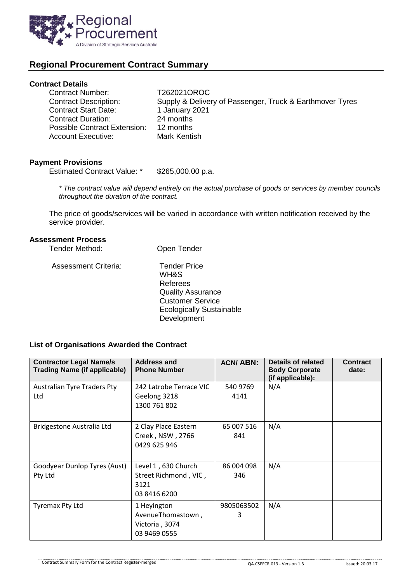

# **Regional Procurement Contract Summary**

## **Contract Details**

| <b>Contract Number:</b>      | T262021OROC                                              |
|------------------------------|----------------------------------------------------------|
| <b>Contract Description:</b> | Supply & Delivery of Passenger, Truck & Earthmover Tyres |
| <b>Contract Start Date:</b>  | 1 January 2021                                           |
| <b>Contract Duration:</b>    | 24 months                                                |
| Possible Contract Extension: | 12 months                                                |
| <b>Account Executive:</b>    | Mark Kentish                                             |

#### **Payment Provisions**

Estimated Contract Value: \* \$265,000.00 p.a.

*\* The contract value will depend entirely on the actual purchase of goods or services by member councils throughout the duration of the contract.*

The price of goods/services will be varied in accordance with written notification received by the service provider.

#### **Assessment Process**

| Tender Method:              | Open Tender                                                                                                                                      |
|-----------------------------|--------------------------------------------------------------------------------------------------------------------------------------------------|
| <b>Assessment Criteria:</b> | <b>Tender Price</b><br>WH&S<br>Referees<br><b>Quality Assurance</b><br><b>Customer Service</b><br><b>Ecologically Sustainable</b><br>Development |

### **List of Organisations Awarded the Contract**

| <b>Contractor Legal Name/s</b><br><b>Trading Name (if applicable)</b> | Address and<br><b>Phone Number</b>                                   | <b>ACN/ABN:</b>   | Details of related<br><b>Body Corporate</b><br>(if applicable): | <b>Contract</b><br>date: |
|-----------------------------------------------------------------------|----------------------------------------------------------------------|-------------------|-----------------------------------------------------------------|--------------------------|
| <b>Australian Tyre Traders Pty</b><br>Ltd                             | 242 Latrobe Terrace VIC<br>Geelong 3218<br>1300 761 802              | 540 9769<br>4141  | N/A                                                             |                          |
| Bridgestone Australia Ltd                                             | 2 Clay Place Eastern<br>Creek, NSW, 2766<br>0429 625 946             | 65 007 516<br>841 | N/A                                                             |                          |
| Goodyear Dunlop Tyres (Aust)<br>Pty Ltd                               | Level 1, 630 Church<br>Street Richmond, VIC,<br>3121<br>03 8416 6200 | 86 004 098<br>346 | N/A                                                             |                          |
| <b>Tyremax Pty Ltd</b>                                                | 1 Heyington<br>AvenueThomastown,<br>Victoria, 3074<br>03 9469 0555   | 9805063502<br>3   | N/A                                                             |                          |